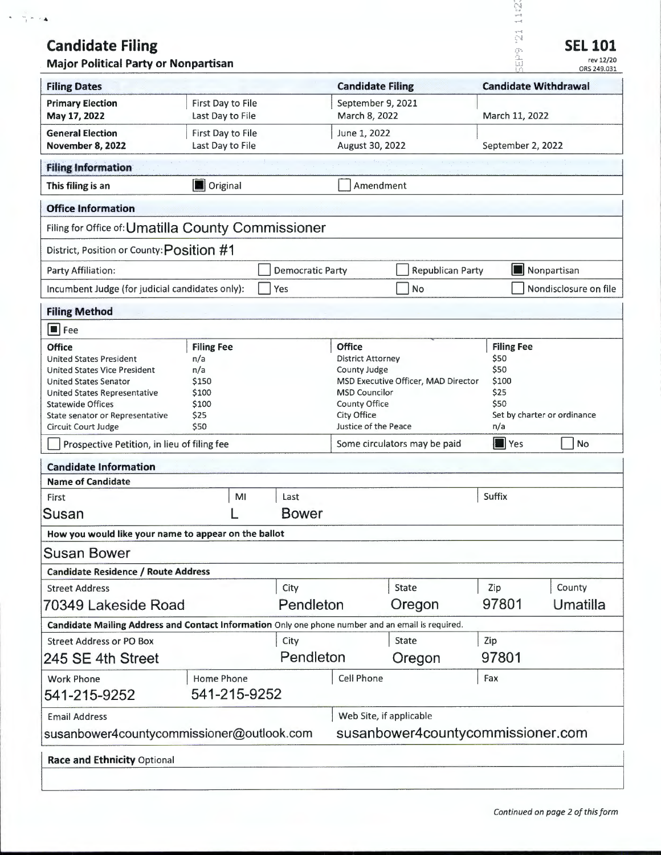# **Candidate Filing**

...

| $\clubsuit$                                                                                                                                                                                                                                         |                                                                            |                   |                                                              |                                                                                                                                                                                                                                                                                      |           |                         | Ñ                                                   |             |                                            |  |
|-----------------------------------------------------------------------------------------------------------------------------------------------------------------------------------------------------------------------------------------------------|----------------------------------------------------------------------------|-------------------|--------------------------------------------------------------|--------------------------------------------------------------------------------------------------------------------------------------------------------------------------------------------------------------------------------------------------------------------------------------|-----------|-------------------------|-----------------------------------------------------|-------------|--------------------------------------------|--|
| <b>Candidate Filing</b><br><b>Major Political Party or Nonpartisan</b>                                                                                                                                                                              |                                                                            |                   |                                                              |                                                                                                                                                                                                                                                                                      |           |                         | Ą,<br>$\hat{\Sigma}^{\rm{NN}}_{\rm{eff}}$<br>ă<br>W |             | <b>SEL 101</b><br>rev 12/20<br>ORS 249.031 |  |
| <b>Filing Dates</b>                                                                                                                                                                                                                                 |                                                                            |                   |                                                              | <b>Candidate Filing</b>                                                                                                                                                                                                                                                              |           |                         | <b>Candidate Withdrawal</b>                         |             |                                            |  |
| <b>Primary Election</b><br>May 17, 2022                                                                                                                                                                                                             | First Day to File<br>Last Day to File                                      |                   |                                                              | September 9, 2021<br>March 8, 2022                                                                                                                                                                                                                                                   |           |                         | March 11, 2022                                      |             |                                            |  |
| <b>General Election</b><br><b>November 8, 2022</b>                                                                                                                                                                                                  | First Day to File<br>Last Day to File                                      |                   |                                                              | June 1, 2022<br>August 30, 2022                                                                                                                                                                                                                                                      |           |                         | September 2, 2022                                   |             |                                            |  |
| <b>Filing Information</b>                                                                                                                                                                                                                           |                                                                            |                   |                                                              |                                                                                                                                                                                                                                                                                      |           |                         |                                                     |             |                                            |  |
| This filing is an                                                                                                                                                                                                                                   |                                                                            | <b>D</b> Original |                                                              |                                                                                                                                                                                                                                                                                      | Amendment |                         |                                                     |             |                                            |  |
| <b>Office Information</b>                                                                                                                                                                                                                           |                                                                            |                   |                                                              |                                                                                                                                                                                                                                                                                      |           |                         |                                                     |             |                                            |  |
| Filing for Office of: Umatilla County Commissioner                                                                                                                                                                                                  |                                                                            |                   |                                                              |                                                                                                                                                                                                                                                                                      |           |                         |                                                     |             |                                            |  |
| District, Position or County: Position #1                                                                                                                                                                                                           |                                                                            |                   |                                                              |                                                                                                                                                                                                                                                                                      |           |                         |                                                     |             |                                            |  |
| Party Affiliation:                                                                                                                                                                                                                                  |                                                                            |                   | <b>Democratic Party</b>                                      |                                                                                                                                                                                                                                                                                      |           | <b>Republican Party</b> |                                                     | Nonpartisan |                                            |  |
| Incumbent Judge (for judicial candidates only):                                                                                                                                                                                                     |                                                                            |                   | Yes                                                          |                                                                                                                                                                                                                                                                                      | No        |                         |                                                     |             | Nondisclosure on file                      |  |
| <b>Filing Method</b>                                                                                                                                                                                                                                |                                                                            |                   |                                                              |                                                                                                                                                                                                                                                                                      |           |                         |                                                     |             |                                            |  |
| $\blacksquare$ Fee                                                                                                                                                                                                                                  |                                                                            |                   |                                                              |                                                                                                                                                                                                                                                                                      |           |                         |                                                     |             |                                            |  |
| <b>Office</b><br><b>United States President</b><br><b>United States Vice President</b><br><b>United States Senator</b><br>United States Representative<br><b>Statewide Offices</b><br>State senator or Representative<br><b>Circuit Court Judge</b> | <b>Filing Fee</b><br>n/a<br>n/a<br>\$150<br>\$100<br>\$100<br>\$25<br>\$50 |                   |                                                              | <b>Office</b><br><b>Filing Fee</b><br>\$50<br><b>District Attorney</b><br>\$50<br>County Judge<br>MSD Executive Officer, MAD Director<br>\$100<br>\$25<br><b>MSD Councilor</b><br>\$50<br>County Office<br>City Office<br>Set by charter or ordinance<br>Justice of the Peace<br>n/a |           |                         |                                                     |             |                                            |  |
| Prospective Petition, in lieu of filing fee                                                                                                                                                                                                         |                                                                            |                   |                                                              | Some circulators may be paid                                                                                                                                                                                                                                                         |           |                         | $\blacksquare$ Yes                                  |             | No                                         |  |
| <b>Candidate Information</b>                                                                                                                                                                                                                        |                                                                            |                   |                                                              |                                                                                                                                                                                                                                                                                      |           |                         |                                                     |             |                                            |  |
| <b>Name of Candidate</b>                                                                                                                                                                                                                            |                                                                            |                   |                                                              |                                                                                                                                                                                                                                                                                      |           |                         |                                                     |             |                                            |  |
| First                                                                                                                                                                                                                                               |                                                                            | MI                | Last                                                         |                                                                                                                                                                                                                                                                                      |           |                         | Suffix                                              |             |                                            |  |
| Susan                                                                                                                                                                                                                                               |                                                                            |                   | <b>Bower</b>                                                 |                                                                                                                                                                                                                                                                                      |           |                         |                                                     |             |                                            |  |
| How you would like your name to appear on the ballot                                                                                                                                                                                                |                                                                            |                   |                                                              |                                                                                                                                                                                                                                                                                      |           |                         |                                                     |             |                                            |  |
| Susan Bower                                                                                                                                                                                                                                         |                                                                            |                   |                                                              |                                                                                                                                                                                                                                                                                      |           |                         |                                                     |             |                                            |  |
| <b>Candidate Residence / Route Address</b>                                                                                                                                                                                                          |                                                                            |                   |                                                              |                                                                                                                                                                                                                                                                                      |           |                         |                                                     |             |                                            |  |
| <b>Street Address</b>                                                                                                                                                                                                                               |                                                                            |                   | City<br>Pendleton                                            |                                                                                                                                                                                                                                                                                      | State     |                         | Zip<br>97801                                        |             | County<br>Umatilla                         |  |
| 70349 Lakeside Road                                                                                                                                                                                                                                 |                                                                            |                   |                                                              |                                                                                                                                                                                                                                                                                      | Oregon    |                         |                                                     |             |                                            |  |
| Candidate Mailing Address and Contact Information Only one phone number and an email is required.<br><b>Street Address or PO Box</b>                                                                                                                |                                                                            |                   | City                                                         |                                                                                                                                                                                                                                                                                      | State     |                         | Zip                                                 |             |                                            |  |
| 245 SE 4th Street                                                                                                                                                                                                                                   |                                                                            |                   | Pendleton                                                    |                                                                                                                                                                                                                                                                                      | Oregon    |                         | 97801                                               |             |                                            |  |
| <b>Work Phone</b><br>541-215-9252                                                                                                                                                                                                                   | Home Phone<br>541-215-9252                                                 |                   |                                                              | <b>Cell Phone</b>                                                                                                                                                                                                                                                                    |           |                         | Fax                                                 |             |                                            |  |
| <b>Email Address</b><br>susanbower4countycommissioner@outlook.com                                                                                                                                                                                   |                                                                            |                   | Web Site, if applicable<br>susanbower4countycommissioner.com |                                                                                                                                                                                                                                                                                      |           |                         |                                                     |             |                                            |  |
| Race and Ethnicity Optional                                                                                                                                                                                                                         |                                                                            |                   |                                                              |                                                                                                                                                                                                                                                                                      |           |                         |                                                     |             |                                            |  |
|                                                                                                                                                                                                                                                     |                                                                            |                   |                                                              |                                                                                                                                                                                                                                                                                      |           |                         |                                                     |             |                                            |  |